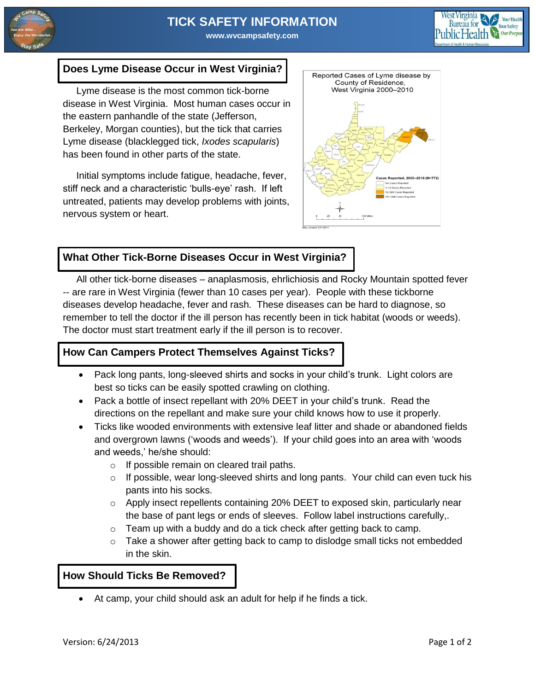

# **TICK SAFETY INFORMATION**

**www.wvcampsafety.com**



#### **Does Lyme Disease Occur in West Virginia?**

 Lyme disease is the most common tick-borne disease in West Virginia. Most human cases occur in the eastern panhandle of the state (Jefferson, Berkeley, Morgan counties), but the tick that carries Lyme disease (blacklegged tick, *Ixodes scapularis*) has been found in other parts of the state.

 Initial symptoms include fatigue, headache, fever, stiff neck and a characteristic 'bulls-eye' rash. If left untreated, patients may develop problems with joints, nervous system or heart.



## **What Other Tick-Borne Diseases Occur in West Virginia?**

 All other tick-borne diseases – anaplasmosis, ehrlichiosis and Rocky Mountain spotted fever -- are rare in West Virginia (fewer than 10 cases per year). People with these tickborne diseases develop headache, fever and rash. These diseases can be hard to diagnose, so remember to tell the doctor if the ill person has recently been in tick habitat (woods or weeds). The doctor must start treatment early if the ill person is to recover.

#### **How Can Campers Protect Themselves Against Ticks?**

- Pack long pants, long-sleeved shirts and socks in your child's trunk. Light colors are best so ticks can be easily spotted crawling on clothing.
- Pack a bottle of insect repellant with 20% DEET in your child's trunk. Read the directions on the repellant and make sure your child knows how to use it properly.
- Ticks like wooded environments with extensive leaf litter and shade or abandoned fields and overgrown lawns ('woods and weeds'). If your child goes into an area with 'woods and weeds,' he/she should:
	- o If possible remain on cleared trail paths.
	- o If possible, wear long-sleeved shirts and long pants. Your child can even tuck his pants into his socks.
	- o Apply insect repellents containing 20% DEET to exposed skin, particularly near the base of pant legs or ends of sleeves. Follow label instructions carefully,.
	- $\circ$  Team up with a buddy and do a tick check after getting back to camp.
	- $\circ$  Take a shower after getting back to camp to dislodge small ticks not embedded in the skin.

#### **How Should Ticks Be Removed?**

At camp, your child should ask an adult for help if he finds a tick.